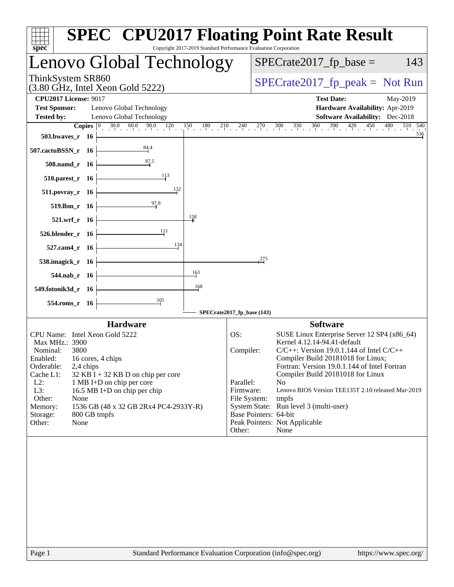| $spec^*$                                                                                                                                                                                                                                                                                                                                                                                                                               | Copyright 2017-2019 Standard Performance Evaluation Corporation      | <b>SPEC<sup>®</sup> CPU2017 Floating Point Rate Result</b>                                                                                                                                                                                                                                                                                                                                                                                                   |  |  |  |
|----------------------------------------------------------------------------------------------------------------------------------------------------------------------------------------------------------------------------------------------------------------------------------------------------------------------------------------------------------------------------------------------------------------------------------------|----------------------------------------------------------------------|--------------------------------------------------------------------------------------------------------------------------------------------------------------------------------------------------------------------------------------------------------------------------------------------------------------------------------------------------------------------------------------------------------------------------------------------------------------|--|--|--|
| Lenovo Global Technology                                                                                                                                                                                                                                                                                                                                                                                                               | $SPECrate2017_fp\_base =$<br>143                                     |                                                                                                                                                                                                                                                                                                                                                                                                                                                              |  |  |  |
| ThinkSystem SR860<br>$(3.80 \text{ GHz}, \text{Intel Xeon Gold } 5222)$                                                                                                                                                                                                                                                                                                                                                                | $SPECrate2017_fp\_peak = Not Run$                                    |                                                                                                                                                                                                                                                                                                                                                                                                                                                              |  |  |  |
| <b>CPU2017 License: 9017</b><br><b>Test Sponsor:</b><br>Lenovo Global Technology<br>Lenovo Global Technology<br><b>Tested by:</b><br>503.bwaves_r 16<br>$\frac{84.4}{5}$<br>507.cactuBSSN_r 16<br>508.namd_r 16<br>113<br>$510.parest_r$ 16<br>$511. povray_r 16$<br>$\frac{97.8}{9}$<br>$519. lbm_r 16$<br>521.wrf_r 16<br>-111<br>526.blender_r 16<br>527.cam4_r 16<br>538.imagick_r 16<br>544.nab_r 16<br>549.fotonik3d_r 16<br>105 | $\frac{132}{2}$<br>$\frac{158}{1}$<br>134<br>163<br>168              | <b>Test Date:</b><br>May-2019<br>Hardware Availability: Apr-2019<br><b>Software Availability:</b> Dec-2018<br><b>Copies</b> $\begin{bmatrix} 0 & 30.0 & 60.0 & 90.0 & 120 & 150 & 180 & 210 & 240 & 270 & 300 & 330 & 360 & 390 & 420 & 450 & 480 \end{bmatrix}$<br>510 540<br>536<br>275                                                                                                                                                                    |  |  |  |
| 554.roms_r 16                                                                                                                                                                                                                                                                                                                                                                                                                          | SPECrate2017_fp_base (143)                                           |                                                                                                                                                                                                                                                                                                                                                                                                                                                              |  |  |  |
| <b>Hardware</b><br>CPU Name: Intel Xeon Gold 5222<br>Max MHz.: 3900<br>Nominal:<br>3800<br>Enabled:<br>16 cores, 4 chips<br>Orderable:<br>2,4 chips<br>Cache L1:<br>$32$ KB I + 32 KB D on chip per core<br>$L2$ :<br>1 MB I+D on chip per core<br>L3:<br>16.5 MB I+D on chip per chip<br>Other:<br>None<br>1536 GB (48 x 32 GB 2Rx4 PC4-2933Y-R)<br>Memory:<br>800 GB tmpfs<br>Storage:<br>Other:<br>None                             | OS:<br>Compiler:<br>Parallel:<br>Firmware:<br>File System:<br>Other: | <b>Software</b><br>SUSE Linux Enterprise Server 12 SP4 (x86_64)<br>Kernel 4.12.14-94.41-default<br>$C/C++$ : Version 19.0.1.144 of Intel $C/C++$<br>Compiler Build 20181018 for Linux;<br>Fortran: Version 19.0.1.144 of Intel Fortran<br>Compiler Build 20181018 for Linux<br>No<br>Lenovo BIOS Version TEE135T 2.10 released Mar-2019<br>tmpfs<br>System State: Run level 3 (multi-user)<br>Base Pointers: 64-bit<br>Peak Pointers: Not Applicable<br>None |  |  |  |
|                                                                                                                                                                                                                                                                                                                                                                                                                                        |                                                                      |                                                                                                                                                                                                                                                                                                                                                                                                                                                              |  |  |  |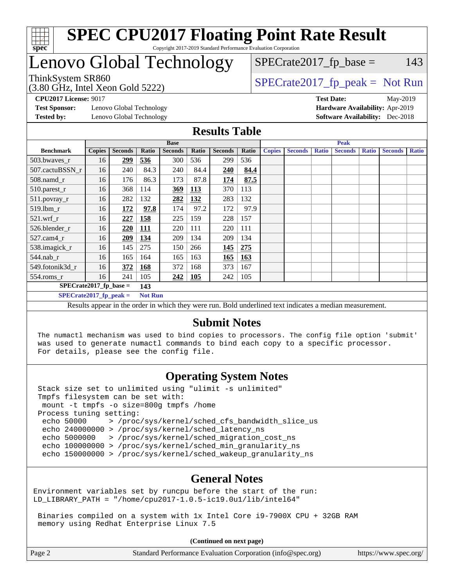

### **[SPEC CPU2017 Floating Point Rate Result](http://www.spec.org/auto/cpu2017/Docs/result-fields.html#SPECCPU2017FloatingPointRateResult)** Copyright 2017-2019 Standard Performance Evaluation Corporation

# Lenovo Global Technology

# $SPECTate2017<sub>fr</sub> base = 143$

(3.80 GHz, Intel Xeon Gold 5222)

ThinkSystem SR860<br>  $SPECTI<sub>2</sub>$  [SPECrate2017\\_fp\\_peak =](http://www.spec.org/auto/cpu2017/Docs/result-fields.html#SPECrate2017fppeak) Not Run

**[Test Sponsor:](http://www.spec.org/auto/cpu2017/Docs/result-fields.html#TestSponsor)** Lenovo Global Technology **[Hardware Availability:](http://www.spec.org/auto/cpu2017/Docs/result-fields.html#HardwareAvailability)** Apr-2019 **[Tested by:](http://www.spec.org/auto/cpu2017/Docs/result-fields.html#Testedby)** Lenovo Global Technology **[Software Availability:](http://www.spec.org/auto/cpu2017/Docs/result-fields.html#SoftwareAvailability)** Dec-2018

**[CPU2017 License:](http://www.spec.org/auto/cpu2017/Docs/result-fields.html#CPU2017License)** 9017 **[Test Date:](http://www.spec.org/auto/cpu2017/Docs/result-fields.html#TestDate)** May-2019

### **[Results Table](http://www.spec.org/auto/cpu2017/Docs/result-fields.html#ResultsTable)**

|                                                                                                        | <b>Base</b>   |                |                |                |       | <b>Peak</b>    |       |               |                |              |                |              |                |              |
|--------------------------------------------------------------------------------------------------------|---------------|----------------|----------------|----------------|-------|----------------|-------|---------------|----------------|--------------|----------------|--------------|----------------|--------------|
| <b>Benchmark</b>                                                                                       | <b>Copies</b> | <b>Seconds</b> | Ratio          | <b>Seconds</b> | Ratio | <b>Seconds</b> | Ratio | <b>Copies</b> | <b>Seconds</b> | <b>Ratio</b> | <b>Seconds</b> | <b>Ratio</b> | <b>Seconds</b> | <b>Ratio</b> |
| 503.bwaves_r                                                                                           | 16            | 299            | 536            | 300            | 536   | 299            | 536   |               |                |              |                |              |                |              |
| 507.cactuBSSN r                                                                                        | 16            | 240            | 84.3           | 240            | 84.4  | 240            | 84.4  |               |                |              |                |              |                |              |
| 508.namd_r                                                                                             | 16            | 176            | 86.3           | 173            | 87.8  | 174            | 87.5  |               |                |              |                |              |                |              |
| 510.parest_r                                                                                           | 16            | 368            | 114            | 369            | 113   | 370            | 113   |               |                |              |                |              |                |              |
| 511.povray_r                                                                                           | 16            | 282            | 132            | 282            | 132   | 283            | 132   |               |                |              |                |              |                |              |
| 519.lbm r                                                                                              | 16            | 172            | 97.8           | 174            | 97.2  | 172            | 97.9  |               |                |              |                |              |                |              |
| $521$ .wrf r                                                                                           | 16            | 227            | 158            | 225            | 159   | 228            | 157   |               |                |              |                |              |                |              |
| 526.blender_r                                                                                          | 16            | 220            | <u>111</u>     | 220            | 111   | 220            | 111   |               |                |              |                |              |                |              |
| $527.cam4_r$                                                                                           | 16            | 209            | 134            | 209            | 134   | 209            | 134   |               |                |              |                |              |                |              |
| 538.imagick_r                                                                                          | 16            | 145            | 275            | 150            | 266   | <u> 145</u>    | 275   |               |                |              |                |              |                |              |
| $544$ .nab r                                                                                           | 16            | 165            | 164            | 165            | 163   | 165            | 163   |               |                |              |                |              |                |              |
| 549.fotonik3d r                                                                                        | 16            | 372            | 168            | 372            | 168   | 373            | 167   |               |                |              |                |              |                |              |
| $554$ .roms_r                                                                                          | 16            | 241            | 105            | 242            | 105   | 242            | 105   |               |                |              |                |              |                |              |
| $SPECrate2017$ fp base =                                                                               |               |                | 143            |                |       |                |       |               |                |              |                |              |                |              |
| $SPECrate2017$ fp peak =                                                                               |               |                | <b>Not Run</b> |                |       |                |       |               |                |              |                |              |                |              |
| Decute ennear in the order in which they were run. Dold underlined text indicates a modian measurement |               |                |                |                |       |                |       |               |                |              |                |              |                |              |

Results appear in the [order in which they were run.](http://www.spec.org/auto/cpu2017/Docs/result-fields.html#RunOrder) Bold underlined text [indicates a median measurement.](http://www.spec.org/auto/cpu2017/Docs/result-fields.html#Median)

### **[Submit Notes](http://www.spec.org/auto/cpu2017/Docs/result-fields.html#SubmitNotes)**

 The numactl mechanism was used to bind copies to processors. The config file option 'submit' was used to generate numactl commands to bind each copy to a specific processor. For details, please see the config file.

### **[Operating System Notes](http://www.spec.org/auto/cpu2017/Docs/result-fields.html#OperatingSystemNotes)**

 Stack size set to unlimited using "ulimit -s unlimited" Tmpfs filesystem can be set with: mount -t tmpfs -o size=800g tmpfs /home Process tuning setting: echo 50000 > /proc/sys/kernel/sched\_cfs\_bandwidth\_slice\_us echo 240000000 > /proc/sys/kernel/sched\_latency\_ns echo 5000000 > /proc/sys/kernel/sched\_migration\_cost\_ns echo 100000000 > /proc/sys/kernel/sched\_min\_granularity\_ns echo 150000000 > /proc/sys/kernel/sched\_wakeup\_granularity\_ns

### **[General Notes](http://www.spec.org/auto/cpu2017/Docs/result-fields.html#GeneralNotes)**

Environment variables set by runcpu before the start of the run: LD\_LIBRARY\_PATH = "/home/cpu2017-1.0.5-ic19.0u1/lib/intel64"

 Binaries compiled on a system with 1x Intel Core i9-7900X CPU + 32GB RAM memory using Redhat Enterprise Linux 7.5

**(Continued on next page)**

| Page 2 | Standard Performance Evaluation Corporation (info@spec.org) |  | https://www.spec.org/ |
|--------|-------------------------------------------------------------|--|-----------------------|
|--------|-------------------------------------------------------------|--|-----------------------|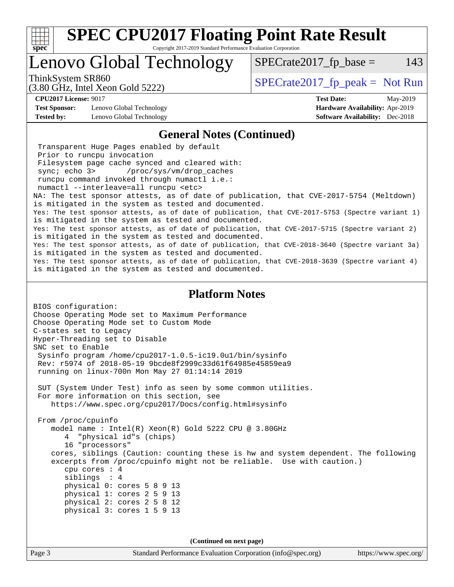

Copyright 2017-2019 Standard Performance Evaluation Corporation

# Lenovo Global Technology

ThinkSystem SR860<br>  $SPECrate2017$  fp\_peak = Not Run

 $SPECTate2017<sub>fr</sub> base = 143$ 

(3.80 GHz, Intel Xeon Gold 5222)

**[Test Sponsor:](http://www.spec.org/auto/cpu2017/Docs/result-fields.html#TestSponsor)** Lenovo Global Technology **[Hardware Availability:](http://www.spec.org/auto/cpu2017/Docs/result-fields.html#HardwareAvailability)** Apr-2019

**[CPU2017 License:](http://www.spec.org/auto/cpu2017/Docs/result-fields.html#CPU2017License)** 9017 **[Test Date:](http://www.spec.org/auto/cpu2017/Docs/result-fields.html#TestDate)** May-2019 **[Tested by:](http://www.spec.org/auto/cpu2017/Docs/result-fields.html#Testedby)** Lenovo Global Technology **[Software Availability:](http://www.spec.org/auto/cpu2017/Docs/result-fields.html#SoftwareAvailability)** Dec-2018

### **[General Notes \(Continued\)](http://www.spec.org/auto/cpu2017/Docs/result-fields.html#GeneralNotes)**

 Transparent Huge Pages enabled by default Prior to runcpu invocation Filesystem page cache synced and cleared with: sync; echo 3> /proc/sys/vm/drop\_caches runcpu command invoked through numactl i.e.: numactl --interleave=all runcpu <etc> NA: The test sponsor attests, as of date of publication, that CVE-2017-5754 (Meltdown) is mitigated in the system as tested and documented. Yes: The test sponsor attests, as of date of publication, that CVE-2017-5753 (Spectre variant 1) is mitigated in the system as tested and documented. Yes: The test sponsor attests, as of date of publication, that CVE-2017-5715 (Spectre variant 2) is mitigated in the system as tested and documented. Yes: The test sponsor attests, as of date of publication, that CVE-2018-3640 (Spectre variant 3a) is mitigated in the system as tested and documented. Yes: The test sponsor attests, as of date of publication, that CVE-2018-3639 (Spectre variant 4) is mitigated in the system as tested and documented.

#### **[Platform Notes](http://www.spec.org/auto/cpu2017/Docs/result-fields.html#PlatformNotes)**

BIOS configuration: Choose Operating Mode set to Maximum Performance Choose Operating Mode set to Custom Mode C-states set to Legacy Hyper-Threading set to Disable SNC set to Enable Sysinfo program /home/cpu2017-1.0.5-ic19.0u1/bin/sysinfo Rev: r5974 of 2018-05-19 9bcde8f2999c33d61f64985e45859ea9 running on linux-700n Mon May 27 01:14:14 2019 SUT (System Under Test) info as seen by some common utilities. For more information on this section, see <https://www.spec.org/cpu2017/Docs/config.html#sysinfo> From /proc/cpuinfo model name : Intel(R) Xeon(R) Gold 5222 CPU @ 3.80GHz 4 "physical id"s (chips) 16 "processors" cores, siblings (Caution: counting these is hw and system dependent. The following excerpts from /proc/cpuinfo might not be reliable. Use with caution.) cpu cores : 4 siblings : 4 physical 0: cores 5 8 9 13 physical 1: cores 2 5 9 13 physical 2: cores 2 5 8 12 physical 3: cores 1 5 9 13

**(Continued on next page)**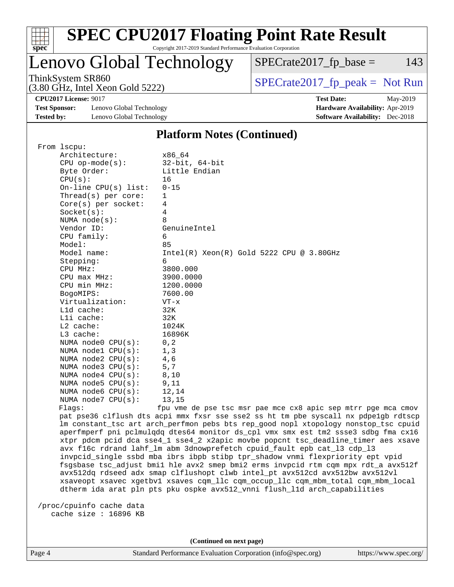

### **[SPEC CPU2017 Floating Point Rate Result](http://www.spec.org/auto/cpu2017/Docs/result-fields.html#SPECCPU2017FloatingPointRateResult)** Copyright 2017-2019 Standard Performance Evaluation Corporation

# Lenovo Global Technology

ThinkSystem SR860<br>  $SPECrate2017$  fp\_peak = Not Run

 $SPECTate2017<sub>fr</sub> base = 143$ 

**[CPU2017 License:](http://www.spec.org/auto/cpu2017/Docs/result-fields.html#CPU2017License)** 9017 **[Test Date:](http://www.spec.org/auto/cpu2017/Docs/result-fields.html#TestDate)** May-2019

**[Test Sponsor:](http://www.spec.org/auto/cpu2017/Docs/result-fields.html#TestSponsor)** Lenovo Global Technology **[Hardware Availability:](http://www.spec.org/auto/cpu2017/Docs/result-fields.html#HardwareAvailability)** Apr-2019 **[Tested by:](http://www.spec.org/auto/cpu2017/Docs/result-fields.html#Testedby)** Lenovo Global Technology **[Software Availability:](http://www.spec.org/auto/cpu2017/Docs/result-fields.html#SoftwareAvailability)** Dec-2018

(3.80 GHz, Intel Xeon Gold 5222)

## **[Platform Notes \(Continued\)](http://www.spec.org/auto/cpu2017/Docs/result-fields.html#PlatformNotes)**

 From lscpu: Architecture: x86\_64 CPU op-mode(s): 32-bit, 64-bit Byte Order: Little Endian  $CPU(s):$  16 On-line CPU(s) list: 0-15 Thread(s) per core: 1 Core(s) per socket: 4 Socket(s): 4 NUMA node(s): 8 Vendor ID: GenuineIntel CPU family: 6 Model: 85 Model name: Intel(R) Xeon(R) Gold 5222 CPU @ 3.80GHz Stepping: 6 CPU MHz: 3800.000 CPU max MHz: 3900.0000 CPU min MHz: 1200.0000 BogoMIPS: 7600.00 Virtualization: VT-x L1d cache: 32K L1i cache: 32K L2 cache: 1024K L3 cache: 16896K NUMA node0 CPU(s): 0,2 NUMA node1 CPU(s): 1,3 NUMA node2  $CPU(s):$  4,6 NUMA node3 CPU(s): 5,7 NUMA node4 CPU(s): 8,10 NUMA node5  $CPU(s):$  9,11 NUMA node6  $CPU(s):$  12,14 NUMA node7  $CPU(s):$  13,15 Flags: fpu vme de pse tsc msr pae mce cx8 apic sep mtrr pge mca cmov pat pse36 clflush dts acpi mmx fxsr sse sse2 ss ht tm pbe syscall nx pdpe1gb rdtscp lm constant\_tsc art arch\_perfmon pebs bts rep\_good nopl xtopology nonstop\_tsc cpuid aperfmperf pni pclmulqdq dtes64 monitor ds\_cpl vmx smx est tm2 ssse3 sdbg fma cx16 xtpr pdcm pcid dca sse4\_1 sse4\_2 x2apic movbe popcnt tsc\_deadline\_timer aes xsave avx f16c rdrand lahf\_lm abm 3dnowprefetch cpuid\_fault epb cat\_l3 cdp\_l3 invpcid\_single ssbd mba ibrs ibpb stibp tpr\_shadow vnmi flexpriority ept vpid fsgsbase tsc\_adjust bmi1 hle avx2 smep bmi2 erms invpcid rtm cqm mpx rdt\_a avx512f avx512dq rdseed adx smap clflushopt clwb intel\_pt avx512cd avx512bw avx512vl xsaveopt xsavec xgetbv1 xsaves cqm\_llc cqm\_occup\_llc cqm\_mbm\_total cqm\_mbm\_local dtherm ida arat pln pts pku ospke avx512\_vnni flush\_l1d arch\_capabilities /proc/cpuinfo cache data cache size : 16896 KB

**(Continued on next page)**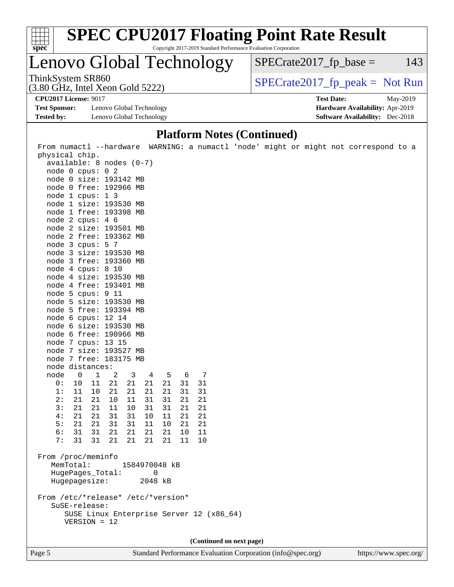

Copyright 2017-2019 Standard Performance Evaluation Corporation

# Lenovo Global Technology

ThinkSystem SR860<br>(3.80 GHz, Intel Xeon Gold 5222)  $\begin{array}{c} | \text{SPECrate2017\_fp\_peak} = \text{Not Run} \end{array}$ 

 $SPECTate2017<sub>fr</sub> base = 143$ 

(3.80 GHz, Intel Xeon Gold 5222) **[CPU2017 License:](http://www.spec.org/auto/cpu2017/Docs/result-fields.html#CPU2017License)** 9017 **[Test Date:](http://www.spec.org/auto/cpu2017/Docs/result-fields.html#TestDate)** May-2019

**[Test Sponsor:](http://www.spec.org/auto/cpu2017/Docs/result-fields.html#TestSponsor)** Lenovo Global Technology **[Hardware Availability:](http://www.spec.org/auto/cpu2017/Docs/result-fields.html#HardwareAvailability)** Apr-2019 **[Tested by:](http://www.spec.org/auto/cpu2017/Docs/result-fields.html#Testedby)** Lenovo Global Technology **[Software Availability:](http://www.spec.org/auto/cpu2017/Docs/result-fields.html#SoftwareAvailability)** Dec-2018

### **[Platform Notes \(Continued\)](http://www.spec.org/auto/cpu2017/Docs/result-fields.html#PlatformNotes)**

 From numactl --hardware WARNING: a numactl 'node' might or might not correspond to a physical chip. available: 8 nodes (0-7) node 0 cpus: 0 2 node 0 size: 193142 MB node 0 free: 192966 MB node 1 cpus: 1 3 node 1 size: 193530 MB node 1 free: 193398 MB node 2 cpus: 4 6 node 2 size: 193501 MB node 2 free: 193362 MB node 3 cpus: 5 7 node 3 size: 193530 MB node 3 free: 193360 MB node 4 cpus: 8 10 node 4 size: 193530 MB node 4 free: 193401 MB node 5 cpus: 9 11 node 5 size: 193530 MB node 5 free: 193394 MB node 6 cpus: 12 14 node 6 size: 193530 MB node 6 free: 190966 MB node 7 cpus: 13 15 node 7 size: 193527 MB node 7 free: 183175 MB node distances: node 0 1 2 3 4 5 6 7 0: 10 11 21 21 21 21 31 31 1: 11 10 21 21 21 21 31 31 2: 21 21 10 11 31 31 21 21 3: 21 21 11 10 31 31 21 21 4: 21 21 31 31 10 11 21 21 5: 21 21 31 31 11 10 21 21 6: 31 31 21 21 21 21 10 11 7: 31 31 21 21 21 21 11 10 From /proc/meminfo MemTotal: 1584970048 kB HugePages\_Total: 0 Hugepagesize: 2048 kB From /etc/\*release\* /etc/\*version\* SuSE-release: SUSE Linux Enterprise Server 12 (x86\_64) VERSION = 12 **(Continued on next page)**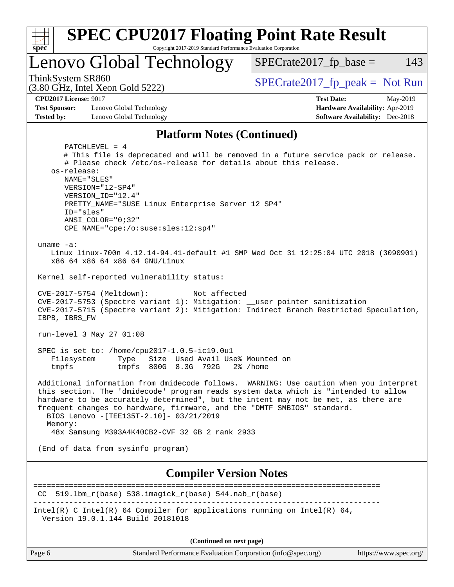

**(Continued on next page)**

| Page r |
|--------|
|--------|

Page 6 Standard Performance Evaluation Corporation [\(info@spec.org\)](mailto:info@spec.org) <https://www.spec.org/>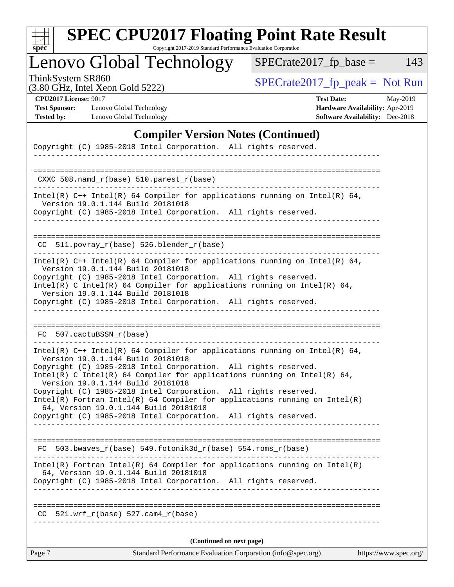| c<br>S | L | E | Ġ. |  |
|--------|---|---|----|--|

Copyright 2017-2019 Standard Performance Evaluation Corporation

Lenovo Global Technology

ThinkSystem SR860<br>  $(3.80 \text{ GHz, Intel Yoon Gold } 5222)$  [SPECrate2017\\_fp\\_peak =](http://www.spec.org/auto/cpu2017/Docs/result-fields.html#SPECrate2017fppeak) Not Run

 $SPECTate2017_fp\_base = 143$ 

(3.80 GHz, Intel Xeon Gold 5222)

**[CPU2017 License:](http://www.spec.org/auto/cpu2017/Docs/result-fields.html#CPU2017License)** 9017 **[Test Date:](http://www.spec.org/auto/cpu2017/Docs/result-fields.html#TestDate)** May-2019 **[Test Sponsor:](http://www.spec.org/auto/cpu2017/Docs/result-fields.html#TestSponsor)** Lenovo Global Technology **[Hardware Availability:](http://www.spec.org/auto/cpu2017/Docs/result-fields.html#HardwareAvailability)** Apr-2019 **[Tested by:](http://www.spec.org/auto/cpu2017/Docs/result-fields.html#Testedby)** Lenovo Global Technology **[Software Availability:](http://www.spec.org/auto/cpu2017/Docs/result-fields.html#SoftwareAvailability)** Dec-2018

### **[Compiler Version Notes \(Continued\)](http://www.spec.org/auto/cpu2017/Docs/result-fields.html#CompilerVersionNotes)**

| Copyright (C) 1985-2018 Intel Corporation. All rights reserved.<br>_________________________________                                                                                                                                                                                                                                                                                                                                                                                                                                                               |
|--------------------------------------------------------------------------------------------------------------------------------------------------------------------------------------------------------------------------------------------------------------------------------------------------------------------------------------------------------------------------------------------------------------------------------------------------------------------------------------------------------------------------------------------------------------------|
|                                                                                                                                                                                                                                                                                                                                                                                                                                                                                                                                                                    |
| $CXXC 508.namd_r(base) 510.parest_r(base)$                                                                                                                                                                                                                                                                                                                                                                                                                                                                                                                         |
| Intel(R) $C++$ Intel(R) 64 Compiler for applications running on Intel(R) 64,<br>Version 19.0.1.144 Build 20181018                                                                                                                                                                                                                                                                                                                                                                                                                                                  |
| Copyright (C) 1985-2018 Intel Corporation. All rights reserved.                                                                                                                                                                                                                                                                                                                                                                                                                                                                                                    |
| CC 511.povray_r(base) 526.blender_r(base)                                                                                                                                                                                                                                                                                                                                                                                                                                                                                                                          |
| Intel(R) $C++$ Intel(R) 64 Compiler for applications running on Intel(R) 64,<br>Version 19.0.1.144 Build 20181018                                                                                                                                                                                                                                                                                                                                                                                                                                                  |
| Copyright (C) 1985-2018 Intel Corporation. All rights reserved.<br>Intel(R) C Intel(R) 64 Compiler for applications running on Intel(R) 64,<br>Version 19.0.1.144 Build 20181018                                                                                                                                                                                                                                                                                                                                                                                   |
| Copyright (C) 1985-2018 Intel Corporation. All rights reserved.                                                                                                                                                                                                                                                                                                                                                                                                                                                                                                    |
|                                                                                                                                                                                                                                                                                                                                                                                                                                                                                                                                                                    |
| FC 507.cactuBSSN_r(base)                                                                                                                                                                                                                                                                                                                                                                                                                                                                                                                                           |
| Intel(R) C++ Intel(R) 64 Compiler for applications running on Intel(R) 64,<br>Version 19.0.1.144 Build 20181018<br>Copyright (C) 1985-2018 Intel Corporation. All rights reserved.<br>Intel(R) C Intel(R) 64 Compiler for applications running on Intel(R) 64,<br>Version 19.0.1.144 Build 20181018<br>Copyright (C) 1985-2018 Intel Corporation. All rights reserved.<br>$Intel(R)$ Fortran Intel(R) 64 Compiler for applications running on Intel(R)<br>64, Version 19.0.1.144 Build 20181018<br>Copyright (C) 1985-2018 Intel Corporation. All rights reserved. |
|                                                                                                                                                                                                                                                                                                                                                                                                                                                                                                                                                                    |
| $FC 503.bwaves_r(base) 549.fotonik3d_r(base) 554.roms_r(base)$                                                                                                                                                                                                                                                                                                                                                                                                                                                                                                     |
| $Intel(R)$ Fortran Intel(R) 64 Compiler for applications running on Intel(R)<br>64, Version 19.0.1.144 Build 20181018                                                                                                                                                                                                                                                                                                                                                                                                                                              |
| Copyright (C) 1985-2018 Intel Corporation. All rights reserved.                                                                                                                                                                                                                                                                                                                                                                                                                                                                                                    |
|                                                                                                                                                                                                                                                                                                                                                                                                                                                                                                                                                                    |
| $521.wrf_r(base)$ 527.cam4_r(base)<br>CC.                                                                                                                                                                                                                                                                                                                                                                                                                                                                                                                          |
| (Continued on next page)                                                                                                                                                                                                                                                                                                                                                                                                                                                                                                                                           |
| Standard Performance Evaluation Corporation (info@spec.org)<br>https://www.spec.org/<br>Page 7                                                                                                                                                                                                                                                                                                                                                                                                                                                                     |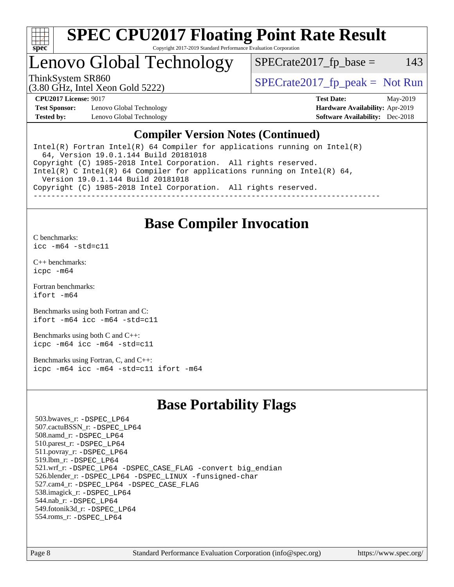

### **[SPEC CPU2017 Floating Point Rate Result](http://www.spec.org/auto/cpu2017/Docs/result-fields.html#SPECCPU2017FloatingPointRateResult)** Copyright 2017-2019 Standard Performance Evaluation Corporation

# Lenovo Global Technology

ThinkSystem SR860<br>  $SPECTI<sub>2</sub>$  [SPECrate2017\\_fp\\_peak =](http://www.spec.org/auto/cpu2017/Docs/result-fields.html#SPECrate2017fppeak) Not Run

 $SPECTate2017<sub>fr</sub> base = 143$ 

(3.80 GHz, Intel Xeon Gold 5222)

**[Test Sponsor:](http://www.spec.org/auto/cpu2017/Docs/result-fields.html#TestSponsor)** Lenovo Global Technology **[Hardware Availability:](http://www.spec.org/auto/cpu2017/Docs/result-fields.html#HardwareAvailability)** Apr-2019 **[Tested by:](http://www.spec.org/auto/cpu2017/Docs/result-fields.html#Testedby)** Lenovo Global Technology **[Software Availability:](http://www.spec.org/auto/cpu2017/Docs/result-fields.html#SoftwareAvailability)** Dec-2018

**[CPU2017 License:](http://www.spec.org/auto/cpu2017/Docs/result-fields.html#CPU2017License)** 9017 **[Test Date:](http://www.spec.org/auto/cpu2017/Docs/result-fields.html#TestDate)** May-2019

### **[Compiler Version Notes \(Continued\)](http://www.spec.org/auto/cpu2017/Docs/result-fields.html#CompilerVersionNotes)**

Intel(R) Fortran Intel(R)  $64$  Compiler for applications running on Intel(R) 64, Version 19.0.1.144 Build 20181018 Copyright (C) 1985-2018 Intel Corporation. All rights reserved. Intel(R) C Intel(R) 64 Compiler for applications running on Intel(R) 64, Version 19.0.1.144 Build 20181018 Copyright (C) 1985-2018 Intel Corporation. All rights reserved. ------------------------------------------------------------------------------

### **[Base Compiler Invocation](http://www.spec.org/auto/cpu2017/Docs/result-fields.html#BaseCompilerInvocation)**

[C benchmarks](http://www.spec.org/auto/cpu2017/Docs/result-fields.html#Cbenchmarks): [icc -m64 -std=c11](http://www.spec.org/cpu2017/results/res2019q3/cpu2017-20190625-15644.flags.html#user_CCbase_intel_icc_64bit_c11_33ee0cdaae7deeeab2a9725423ba97205ce30f63b9926c2519791662299b76a0318f32ddfffdc46587804de3178b4f9328c46fa7c2b0cd779d7a61945c91cd35)

[C++ benchmarks:](http://www.spec.org/auto/cpu2017/Docs/result-fields.html#CXXbenchmarks) [icpc -m64](http://www.spec.org/cpu2017/results/res2019q3/cpu2017-20190625-15644.flags.html#user_CXXbase_intel_icpc_64bit_4ecb2543ae3f1412ef961e0650ca070fec7b7afdcd6ed48761b84423119d1bf6bdf5cad15b44d48e7256388bc77273b966e5eb805aefd121eb22e9299b2ec9d9)

[Fortran benchmarks](http://www.spec.org/auto/cpu2017/Docs/result-fields.html#Fortranbenchmarks): [ifort -m64](http://www.spec.org/cpu2017/results/res2019q3/cpu2017-20190625-15644.flags.html#user_FCbase_intel_ifort_64bit_24f2bb282fbaeffd6157abe4f878425411749daecae9a33200eee2bee2fe76f3b89351d69a8130dd5949958ce389cf37ff59a95e7a40d588e8d3a57e0c3fd751)

[Benchmarks using both Fortran and C](http://www.spec.org/auto/cpu2017/Docs/result-fields.html#BenchmarksusingbothFortranandC): [ifort -m64](http://www.spec.org/cpu2017/results/res2019q3/cpu2017-20190625-15644.flags.html#user_CC_FCbase_intel_ifort_64bit_24f2bb282fbaeffd6157abe4f878425411749daecae9a33200eee2bee2fe76f3b89351d69a8130dd5949958ce389cf37ff59a95e7a40d588e8d3a57e0c3fd751) [icc -m64 -std=c11](http://www.spec.org/cpu2017/results/res2019q3/cpu2017-20190625-15644.flags.html#user_CC_FCbase_intel_icc_64bit_c11_33ee0cdaae7deeeab2a9725423ba97205ce30f63b9926c2519791662299b76a0318f32ddfffdc46587804de3178b4f9328c46fa7c2b0cd779d7a61945c91cd35)

[Benchmarks using both C and C++](http://www.spec.org/auto/cpu2017/Docs/result-fields.html#BenchmarksusingbothCandCXX): [icpc -m64](http://www.spec.org/cpu2017/results/res2019q3/cpu2017-20190625-15644.flags.html#user_CC_CXXbase_intel_icpc_64bit_4ecb2543ae3f1412ef961e0650ca070fec7b7afdcd6ed48761b84423119d1bf6bdf5cad15b44d48e7256388bc77273b966e5eb805aefd121eb22e9299b2ec9d9) [icc -m64 -std=c11](http://www.spec.org/cpu2017/results/res2019q3/cpu2017-20190625-15644.flags.html#user_CC_CXXbase_intel_icc_64bit_c11_33ee0cdaae7deeeab2a9725423ba97205ce30f63b9926c2519791662299b76a0318f32ddfffdc46587804de3178b4f9328c46fa7c2b0cd779d7a61945c91cd35)

[Benchmarks using Fortran, C, and C++:](http://www.spec.org/auto/cpu2017/Docs/result-fields.html#BenchmarksusingFortranCandCXX) [icpc -m64](http://www.spec.org/cpu2017/results/res2019q3/cpu2017-20190625-15644.flags.html#user_CC_CXX_FCbase_intel_icpc_64bit_4ecb2543ae3f1412ef961e0650ca070fec7b7afdcd6ed48761b84423119d1bf6bdf5cad15b44d48e7256388bc77273b966e5eb805aefd121eb22e9299b2ec9d9) [icc -m64 -std=c11](http://www.spec.org/cpu2017/results/res2019q3/cpu2017-20190625-15644.flags.html#user_CC_CXX_FCbase_intel_icc_64bit_c11_33ee0cdaae7deeeab2a9725423ba97205ce30f63b9926c2519791662299b76a0318f32ddfffdc46587804de3178b4f9328c46fa7c2b0cd779d7a61945c91cd35) [ifort -m64](http://www.spec.org/cpu2017/results/res2019q3/cpu2017-20190625-15644.flags.html#user_CC_CXX_FCbase_intel_ifort_64bit_24f2bb282fbaeffd6157abe4f878425411749daecae9a33200eee2bee2fe76f3b89351d69a8130dd5949958ce389cf37ff59a95e7a40d588e8d3a57e0c3fd751)

### **[Base Portability Flags](http://www.spec.org/auto/cpu2017/Docs/result-fields.html#BasePortabilityFlags)**

 503.bwaves\_r: [-DSPEC\\_LP64](http://www.spec.org/cpu2017/results/res2019q3/cpu2017-20190625-15644.flags.html#suite_basePORTABILITY503_bwaves_r_DSPEC_LP64) 507.cactuBSSN\_r: [-DSPEC\\_LP64](http://www.spec.org/cpu2017/results/res2019q3/cpu2017-20190625-15644.flags.html#suite_basePORTABILITY507_cactuBSSN_r_DSPEC_LP64) 508.namd\_r: [-DSPEC\\_LP64](http://www.spec.org/cpu2017/results/res2019q3/cpu2017-20190625-15644.flags.html#suite_basePORTABILITY508_namd_r_DSPEC_LP64) 510.parest\_r: [-DSPEC\\_LP64](http://www.spec.org/cpu2017/results/res2019q3/cpu2017-20190625-15644.flags.html#suite_basePORTABILITY510_parest_r_DSPEC_LP64) 511.povray\_r: [-DSPEC\\_LP64](http://www.spec.org/cpu2017/results/res2019q3/cpu2017-20190625-15644.flags.html#suite_basePORTABILITY511_povray_r_DSPEC_LP64) 519.lbm\_r: [-DSPEC\\_LP64](http://www.spec.org/cpu2017/results/res2019q3/cpu2017-20190625-15644.flags.html#suite_basePORTABILITY519_lbm_r_DSPEC_LP64) 521.wrf\_r: [-DSPEC\\_LP64](http://www.spec.org/cpu2017/results/res2019q3/cpu2017-20190625-15644.flags.html#suite_basePORTABILITY521_wrf_r_DSPEC_LP64) [-DSPEC\\_CASE\\_FLAG](http://www.spec.org/cpu2017/results/res2019q3/cpu2017-20190625-15644.flags.html#b521.wrf_r_baseCPORTABILITY_DSPEC_CASE_FLAG) [-convert big\\_endian](http://www.spec.org/cpu2017/results/res2019q3/cpu2017-20190625-15644.flags.html#user_baseFPORTABILITY521_wrf_r_convert_big_endian_c3194028bc08c63ac5d04de18c48ce6d347e4e562e8892b8bdbdc0214820426deb8554edfa529a3fb25a586e65a3d812c835984020483e7e73212c4d31a38223) 526.blender\_r: [-DSPEC\\_LP64](http://www.spec.org/cpu2017/results/res2019q3/cpu2017-20190625-15644.flags.html#suite_basePORTABILITY526_blender_r_DSPEC_LP64) [-DSPEC\\_LINUX](http://www.spec.org/cpu2017/results/res2019q3/cpu2017-20190625-15644.flags.html#b526.blender_r_baseCPORTABILITY_DSPEC_LINUX) [-funsigned-char](http://www.spec.org/cpu2017/results/res2019q3/cpu2017-20190625-15644.flags.html#user_baseCPORTABILITY526_blender_r_force_uchar_40c60f00ab013830e2dd6774aeded3ff59883ba5a1fc5fc14077f794d777847726e2a5858cbc7672e36e1b067e7e5c1d9a74f7176df07886a243d7cc18edfe67) 527.cam4\_r: [-DSPEC\\_LP64](http://www.spec.org/cpu2017/results/res2019q3/cpu2017-20190625-15644.flags.html#suite_basePORTABILITY527_cam4_r_DSPEC_LP64) [-DSPEC\\_CASE\\_FLAG](http://www.spec.org/cpu2017/results/res2019q3/cpu2017-20190625-15644.flags.html#b527.cam4_r_baseCPORTABILITY_DSPEC_CASE_FLAG) 538.imagick\_r: [-DSPEC\\_LP64](http://www.spec.org/cpu2017/results/res2019q3/cpu2017-20190625-15644.flags.html#suite_basePORTABILITY538_imagick_r_DSPEC_LP64) 544.nab\_r: [-DSPEC\\_LP64](http://www.spec.org/cpu2017/results/res2019q3/cpu2017-20190625-15644.flags.html#suite_basePORTABILITY544_nab_r_DSPEC_LP64) 549.fotonik3d\_r: [-DSPEC\\_LP64](http://www.spec.org/cpu2017/results/res2019q3/cpu2017-20190625-15644.flags.html#suite_basePORTABILITY549_fotonik3d_r_DSPEC_LP64) 554.roms\_r: [-DSPEC\\_LP64](http://www.spec.org/cpu2017/results/res2019q3/cpu2017-20190625-15644.flags.html#suite_basePORTABILITY554_roms_r_DSPEC_LP64)